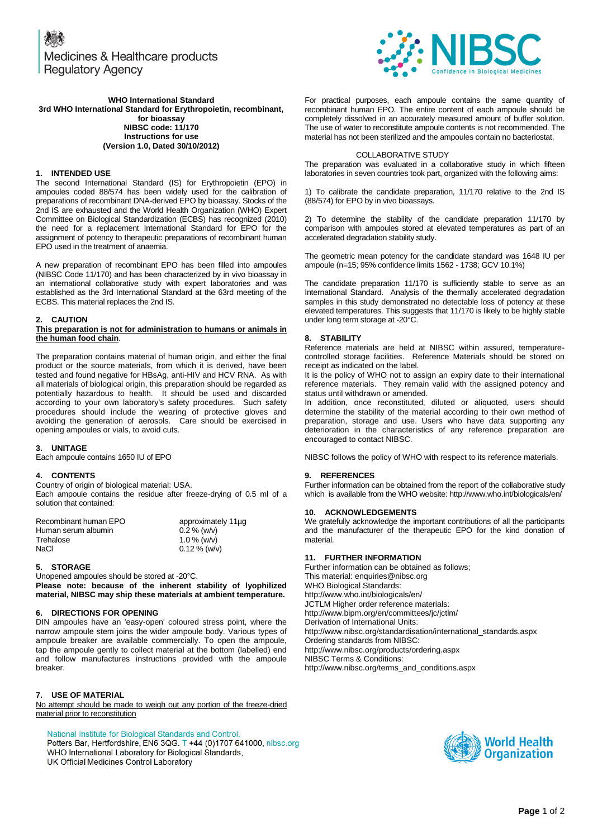Medicines & Healthcare products **Regulatory Agency** 



**WHO International Standard 3rd WHO International Standard for Erythropoietin, recombinant, for bioassay NIBSC code: 11/170 Instructions for use (Version 1.0, Dated 30/10/2012)**

#### **1. INTENDED USE**

The second International Standard (IS) for Erythropoietin (EPO) in ampoules coded 88/574 has been widely used for the calibration of preparations of recombinant DNA-derived EPO by bioassay. Stocks of the 2nd IS are exhausted and the World Health Organization (WHO) Expert Committee on Biological Standardization (ECBS) has recognized (2010) the need for a replacement International Standard for EPO for the assignment of potency to therapeutic preparations of recombinant human EPO used in the treatment of anaemia.

A new preparation of recombinant EPO has been filled into ampoules (NIBSC Code 11/170) and has been characterized by in vivo bioassay in an international collaborative study with expert laboratories and was established as the 3rd International Standard at the 63rd meeting of the ECBS. This material replaces the 2nd IS.

#### **2. CAUTION**

#### **This preparation is not for administration to humans or animals in the human food chain**.

The preparation contains material of human origin, and either the final product or the source materials, from which it is derived, have been tested and found negative for HBsAg, anti-HIV and HCV RNA. As with all materials of biological origin, this preparation should be regarded as potentially hazardous to health. It should be used and discarded according to your own laboratory's safety procedures. Such safety procedures should include the wearing of protective gloves and avoiding the generation of aerosols. Care should be exercised in opening ampoules or vials, to avoid cuts.

#### **3. UNITAGE**

Each ampoule contains 1650 IU of EPO

#### **4. CONTENTS**

Country of origin of biological material: USA.

Each ampoule contains the residue after freeze-drying of 0.5 ml of a solution that contained:

| Recombinant human EPO | approximately 11ug |  |
|-----------------------|--------------------|--|
| Human serum albumin   | $0.2\%$ (w/v)      |  |
| Trehalose             | $1.0\%$ (w/v)      |  |
| NaCl                  | $0.12\%$ (w/v)     |  |
|                       |                    |  |

#### **5. STORAGE**

Unopened ampoules should be stored at -20°C. **Please note: because of the inherent stability of lyophilized** 

**material, NIBSC may ship these materials at ambient temperature.**

# **6. DIRECTIONS FOR OPENING**

DIN ampoules have an 'easy-open' coloured stress point, where the narrow ampoule stem joins the wider ampoule body. Various types of ampoule breaker are available commercially. To open the ampoule, tap the ampoule gently to collect material at the bottom (labelled) end and follow manufactures instructions provided with the ampoule breaker.

# **7. USE OF MATERIAL**

No attempt should be made to weigh out any portion of the freeze-dried material prior to reconstitution

National Institute for Biological Standards and Control, Potters Bar, Hertfordshire, EN6 3QG. T +44 (0)1707 641000, nibsc.org WHO International Laboratory for Biological Standards, UK Official Medicines Control Laboratory

For practical purposes, each ampoule contains the same quantity of recombinant human EPO. The entire content of each ampoule should be completely dissolved in an accurately measured amount of buffer solution. The use of water to reconstitute ampoule contents is not recommended. The material has not been sterilized and the ampoules contain no bacteriostat.

# COLLABORATIVE STUDY

The preparation was evaluated in a collaborative study in which fifteen laboratories in seven countries took part, organized with the following aims:

1) To calibrate the candidate preparation, 11/170 relative to the 2nd IS (88/574) for EPO by in vivo bioassays.

2) To determine the stability of the candidate preparation 11/170 by comparison with ampoules stored at elevated temperatures as part of an accelerated degradation stability study.

The geometric mean potency for the candidate standard was 1648 IU per ampoule (n=15; 95% confidence limits 1562 - 1738; GCV 10.1%)

The candidate preparation 11/170 is sufficiently stable to serve as an International Standard. Analysis of the thermally accelerated degradation samples in this study demonstrated no detectable loss of potency at these elevated temperatures. This suggests that 11/170 is likely to be highly stable under long term storage at -20°C.

## **8. STABILITY**

Reference materials are held at NIBSC within assured, temperaturecontrolled storage facilities. Reference Materials should be stored on receipt as indicated on the label.

It is the policy of WHO not to assign an expiry date to their international reference materials. They remain valid with the assigned potency and status until withdrawn or amended.

In addition, once reconstituted, diluted or aliquoted, users should determine the stability of the material according to their own method of preparation, storage and use. Users who have data supporting any deterioration in the characteristics of any reference preparation are encouraged to contact NIBSC.

NIBSC follows the policy of WHO with respect to its reference materials.

## **9. REFERENCES**

Further information can be obtained from the report of the collaborative study which is available from the WHO website: http://www.who.int/biologicals/en/

## **10. ACKNOWLEDGEMENTS**

We gratefully acknowledge the important contributions of all the participants and the manufacturer of the therapeutic EPO for the kind donation of material.

#### **11. FURTHER INFORMATION**

Further information can be obtained as follows; This material[: enquiries@nibsc.org](mailto:enquiries@nibsc.org) WHO Biological Standards: <http://www.who.int/biologicals/en/> JCTLM Higher order reference materials: <http://www.bipm.org/en/committees/jc/jctlm/> Derivation of International Units: [http://www.nibsc.org/standardisation/international\\_standards.aspx](http://www.nibsc.org/standardisation/international_standards.aspx) Ordering standards from NIBSC: <http://www.nibsc.org/products/ordering.aspx> NIBSC Terms & Conditions: [http://www.nibsc.org/terms\\_and\\_conditions.aspx](http://www.nibsc.ac.uk/terms_and_conditions.aspx)